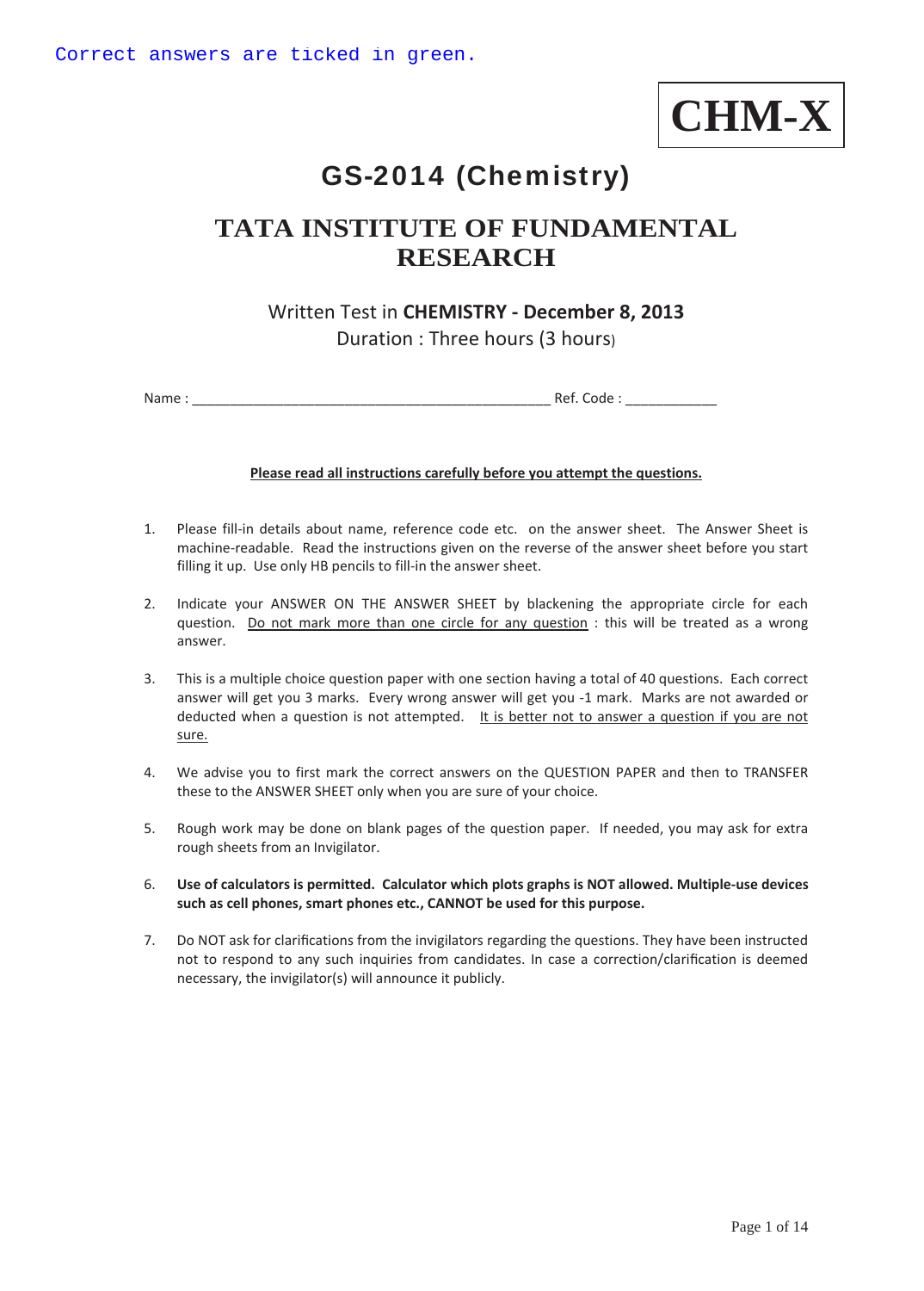

# GS-2014 (Chemistry)

## **TATA INSTITUTE OF FUNDAMENTAL RESEARCH**

## Written Test in **CHEMISTRY - December 8, 2013**  Duration : Three hours (3 hours)

Name : \_\_\_\_\_\_\_\_\_\_\_\_\_\_\_\_\_\_\_\_\_\_\_\_\_\_\_\_\_\_\_\_\_\_\_\_\_\_\_\_\_\_\_\_\_\_\_ Ref. Code : \_\_\_\_\_\_\_\_\_\_\_\_

#### **Please read all instructions carefully before you attempt the questions.**

- 1. Please fill-in details about name, reference code etc. on the answer sheet. The Answer Sheet is machine-readable. Read the instructions given on the reverse of the answer sheet before you start filling it up. Use only HB pencils to fill-in the answer sheet.
- 2. Indicate your ANSWER ON THE ANSWER SHEET by blackening the appropriate circle for each question. Do not mark more than one circle for any question : this will be treated as a wrong answer.
- 3. This is a multiple choice question paper with one section having a total of 40 questions. Each correct answer will get you 3 marks. Every wrong answer will get you -1 mark. Marks are not awarded or deducted when a question is not attempted. It is better not to answer a question if you are not sure.
- 4. We advise you to first mark the correct answers on the QUESTION PAPER and then to TRANSFER these to the ANSWER SHEET only when you are sure of your choice.
- 5. Rough work may be done on blank pages of the question paper. If needed, you may ask for extra rough sheets from an Invigilator.
- 6. **Use of calculators is permitted. Calculator which plots graphs is NOT allowed. Multiple-use devices such as cell phones, smart phones etc., CANNOT be used for this purpose.**
- 7. Do NOT ask for clarifications from the invigilators regarding the questions. They have been instructed not to respond to any such inquiries from candidates. In case a correction/clarification is deemed necessary, the invigilator(s) will announce it publicly.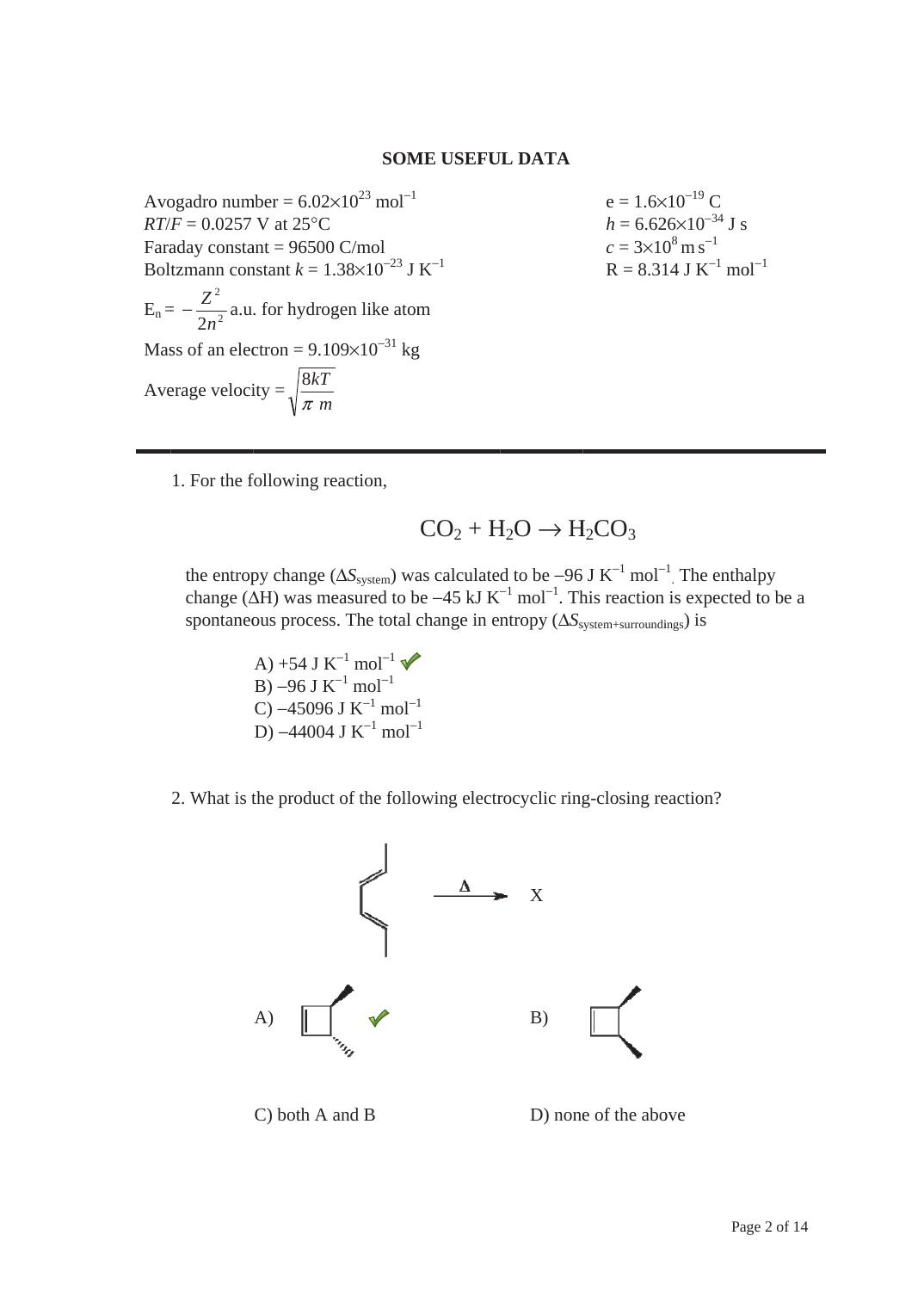#### **SOME USEFUL DATA**

Avogadro number =  $6.02 \times 10^{23}$  mol<sup>-1</sup>  $RT/F = 0.0257$  V at 25°C Faraday constant =  $96500$  C/mol Boltzmann constant  $k = 1.38 \times 10^{-23}$  J K<sup>-1</sup>  $E_n = -\frac{Z^2}{2n^2}$  a.u. for hydrogen like atom Mass of an electron =  $9.109 \times 10^{-31}$  kg Average velocity =  $\sqrt{\frac{8kT}{\pi m}}$ 

 $e = 1.6 \times 10^{-19}$  C  $h = 6.626 \times 10^{-34}$  J s  $c = 3 \times 10^8 \,\mathrm{m\,s}^{-1}$  $R = 8.314$  J K<sup>-1</sup> mol<sup>-1</sup>

1. For the following reaction,

$$
CO_2 + H_2O \rightarrow H_2CO_3
$$

the entropy change ( $\Delta S_{\text{system}}$ ) was calculated to be -96 J K<sup>-1</sup> mol<sup>-1</sup>. The enthalpy change ( $\Delta H$ ) was measured to be -45 kJ K<sup>-1</sup> mol<sup>-1</sup>. This reaction is expected to be a spontaneous process. The total change in entropy  $(\Delta S_{\text{system+surroundings}})$  is

> A) +54 J K<sup>-1</sup> mol<sup>-1</sup>  $\sqrt{\ }$  $B$ ) -96 J K<sup>-1</sup> mol<sup>-1</sup> C) –45096 J K<sup>-1</sup> mol<sup>-1</sup> D)  $-44004$  J K<sup>-1</sup> mol<sup>-1</sup>

2. What is the product of the following electrocyclic ring-closing reaction?



 $C$ ) both A and B

D) none of the above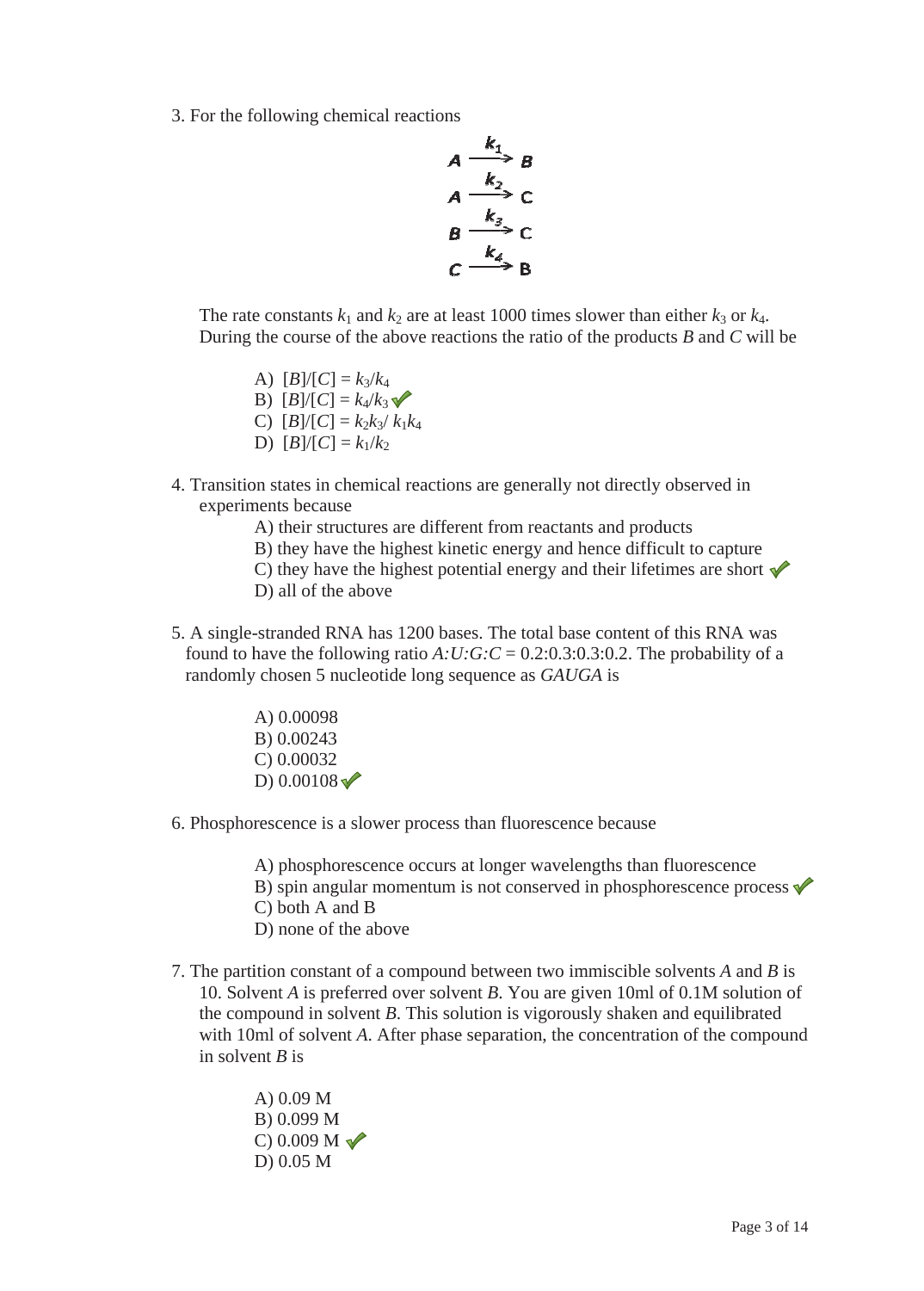3. For the following chemical reactions

$$
A \xrightarrow{k_1} B
$$
  
\n
$$
A \xrightarrow{k_2} C
$$
  
\n
$$
B \xrightarrow{k_3} C
$$
  
\n
$$
C \xrightarrow{k_4} B
$$

The rate constants  $k_1$  and  $k_2$  are at least 1000 times slower than either  $k_3$  or  $k_4$ . During the course of the above reactions the ratio of the products  $B$  and  $C$  will be

- A)  $[B]/[C] = k_3/k_4$ B)  $[B]/[C] = k_4/k_3$ C)  $[B]/[C] = k_2k_3/k_1k_4$ D)  $[B]/[C] = k_1/k_2$
- 4. Transition states in chemical reactions are generally not directly observed in experiments because
	- A) their structures are different from reactants and products
	- B) they have the highest kinetic energy and hence difficult to capture
	- C) they have the highest potential energy and their lifetimes are short  $\mathcal V$
	- D) all of the above
- 5. A single-stranded RNA has 1200 bases. The total base content of this RNA was found to have the following ratio  $A:U:G:C = 0.2:0.3:0.3:0.2$ . The probability of a randomly chosen 5 nucleotide long sequence as GAUGA is
	- A) 0.00098 B) 0.00243  $C$ ) 0.00032 D)  $0.00108 \sqrt{}$
- 6. Phosphorescence is a slower process than fluorescence because

A) phosphorescence occurs at longer wavelengths than fluorescence B) spin angular momentum is not conserved in phosphorescence process  $\checkmark$  $C$ ) both A and B D) none of the above

- 7. The partition constant of a compound between two immiscible solvents A and B is 10. Solvent A is preferred over solvent B. You are given 10ml of 0.1M solution of the compound in solvent  $B$ . This solution is vigorously shaken and equilibrated with 10ml of solvent A. After phase separation, the concentration of the compound in solvent  $B$  is
	- A)  $0.09 M$ B) 0.099 M  $C$ ) 0.009 M  $D) 0.05 M$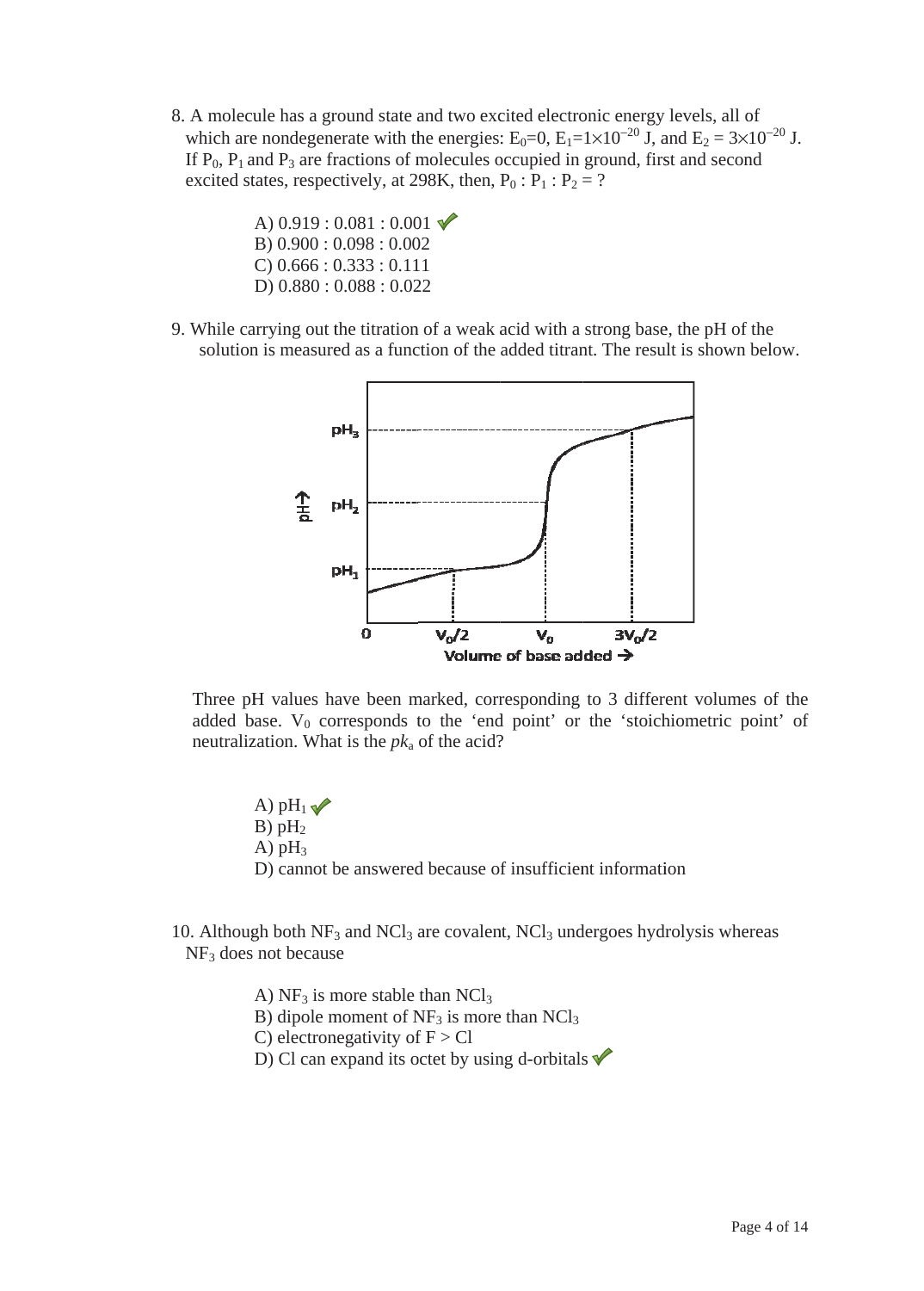- 8. A molecule has a ground state and two excited electronic energy levels, all of which are nondegenerate with the energies:  $E_0=0$ ,  $E_1=1\times10^{-20}$  J, and  $E_2=3\times10^{-20}$  J. If  $P_0$ ,  $P_1$  and  $P_3$  are fractions of molecules occupied in ground, first and second excited states, respectively, at 298K, then,  $P_0$ :  $P_1$ :  $P_2$  = ?
	- A)  $0.919:0.081:0.001$  $B) 0.900 : 0.098 : 0.002$  $C$ ) 0.666 : 0.333 : 0.111 D)  $0.880:0.088:0.022$
- 9. While carrying out the titration of a weak acid with a strong base, the pH of the solution is measured as a function of the added titrant. The result is shown below.



Three pH values have been marked, corresponding to 3 different volumes of the added base.  $V_0$  corresponds to the 'end point' or the 'stoichiometric point' of neutralization. What is the  $pk_a$  of the acid?

A)  $pH_1 \blacktriangleright$  $B)$  pH<sub>2</sub> A)  $pH_3$ D) cannot be answered because of insufficient information

10. Although both  $NF_3$  and  $NCl_3$  are covalent,  $NCl_3$  undergoes hydrolysis whereas  $NF<sub>3</sub>$  does not because

> A)  $NF_3$  is more stable than  $NCl_3$ B) dipole moment of  $NF_3$  is more than  $NCl_3$ C) electronegativity of  $F > Cl$ D) Cl can expand its octet by using d-orbitals  $\sqrt{\ }$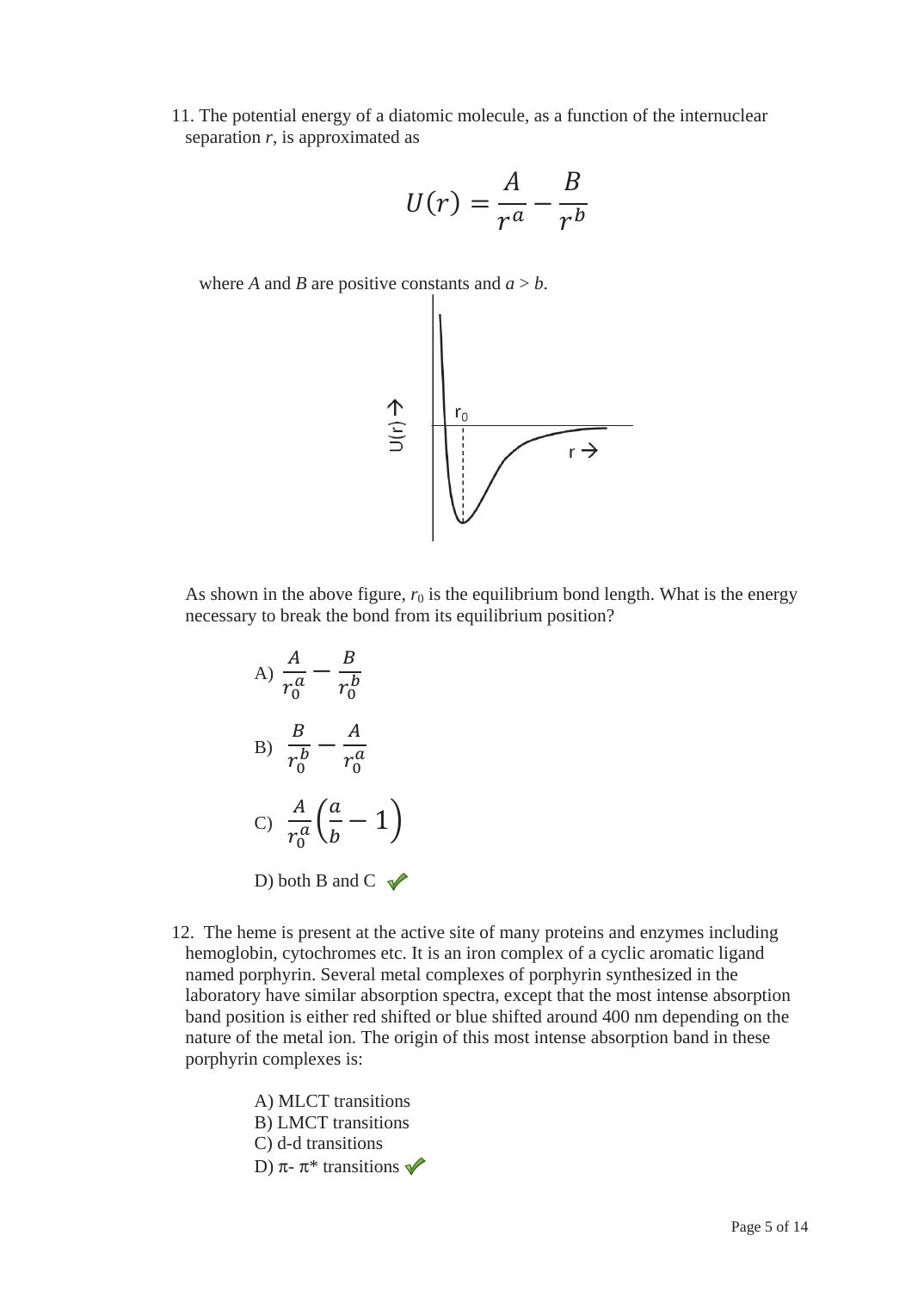11. The potential energy of a diatomic molecule, as a function of the internuclear separation *r*, is approximated as

$$
U(r) = \frac{A}{r^a} - \frac{B}{r^b}
$$

where *A* and *B* are positive constants and  $a > b$ .



As shown in the above figure,  $r_0$  is the equilibrium bond length. What is the energy necessary to break the bond from its equilibrium position?

A) 
$$
\frac{A}{r_0^a} - \frac{B}{r_0^b}
$$
  
\nB)  $\frac{B}{r_0^b} - \frac{A}{r_0^a}$   
\nC)  $\frac{A}{r_0^a} \left(\frac{a}{b} - 1\right)$   
\nD) both B and C

12. The heme is present at the active site of many proteins and enzymes including hemoglobin, cytochromes etc. It is an iron complex of a cyclic aromatic ligand named porphyrin. Several metal complexes of porphyrin synthesized in the laboratory have similar absorption spectra, except that the most intense absorption band position is either red shifted or blue shifted around 400 nm depending on the nature of the metal ion. The origin of this most intense absorption band in these porphyrin complexes is:

> A) MLCT transitions B) LMCT transitions C) d-d transitions D) π-  $\pi^*$  transitions  $\blacktriangledown$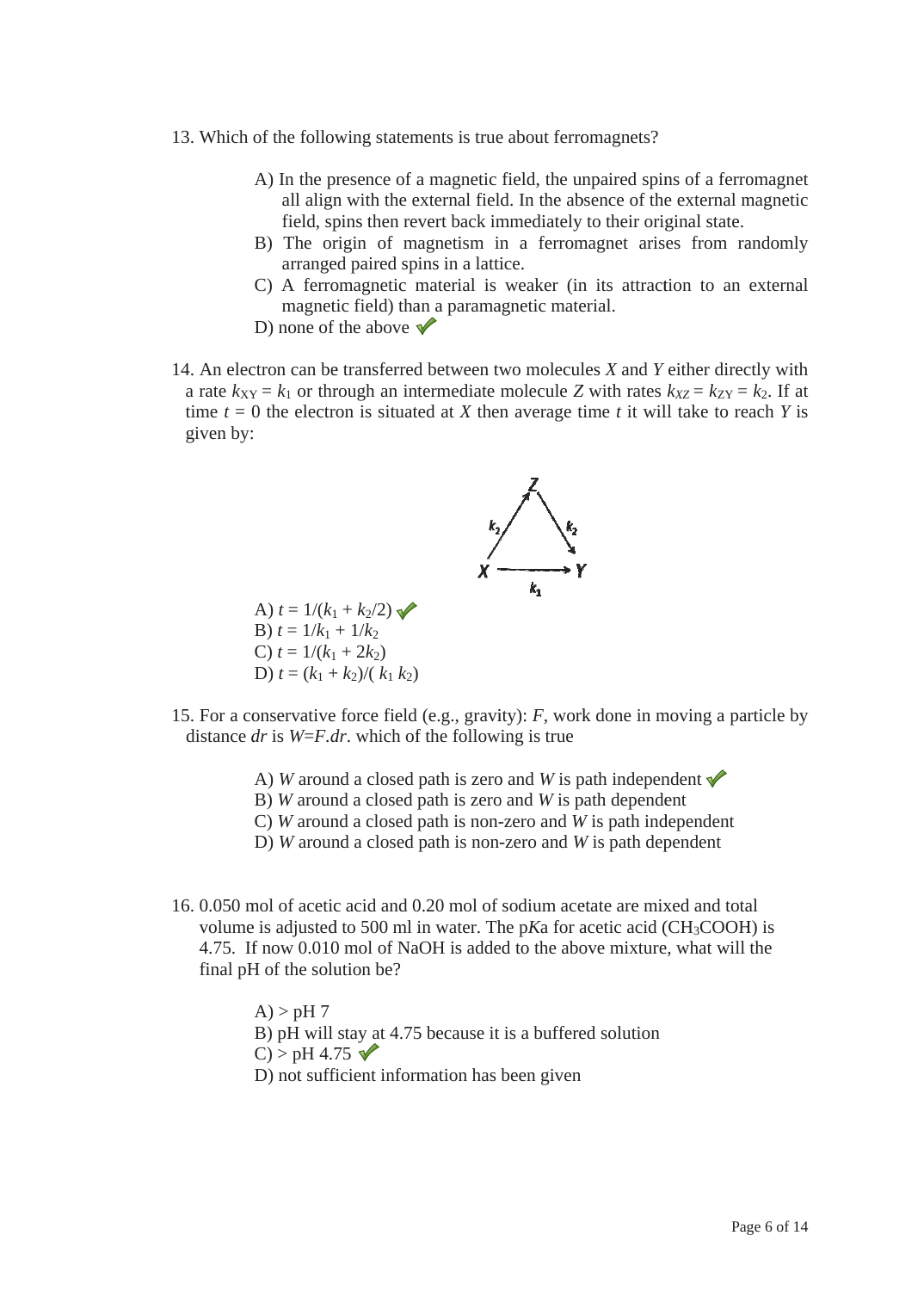- 13. Which of the following statements is true about ferromagnets?
	- A) In the presence of a magnetic field, the unpaired spins of a ferromagnet all align with the external field. In the absence of the external magnetic field, spins then revert back immediately to their original state.
	- B) The origin of magnetism in a ferromagnet arises from randomly arranged paired spins in a lattice.
	- C) A ferromagnetic material is weaker (in its attraction to an external magnetic field) than a paramagnetic material.
	- D) none of the above  $\blacktriangledown$
- 14. An electron can be transferred between two molecules X and Y either directly with a rate  $k_{XY} = k_1$  or through an intermediate molecule Z with rates  $k_{XZ} = k_{ZY} = k_2$ . If at time  $t = 0$  the electron is situated at X then average time t it will take to reach Y is given by:



- 15. For a conservative force field (e.g., gravity):  $F$ , work done in moving a particle by distance dr is  $W = F dr$ , which of the following is true
	- A) W around a closed path is zero and W is path independent  $\sqrt{\ }$
	- B) W around a closed path is zero and  $W$  is path dependent
	- C) W around a closed path is non-zero and W is path independent
	- D) W around a closed path is non-zero and  $W$  is path dependent
- 16. 0.050 mol of acetic acid and 0.20 mol of sodium acetate are mixed and total volume is adjusted to 500 ml in water. The  $pKa$  for acetic acid (CH<sub>3</sub>COOH) is 4.75. If now 0.010 mol of NaOH is added to the above mixture, what will the final pH of the solution be?

 $A$ ) > pH 7 B) pH will stay at 4.75 because it is a buffered solution  $C$  > pH 4.75  $\checkmark$ D) not sufficient information has been given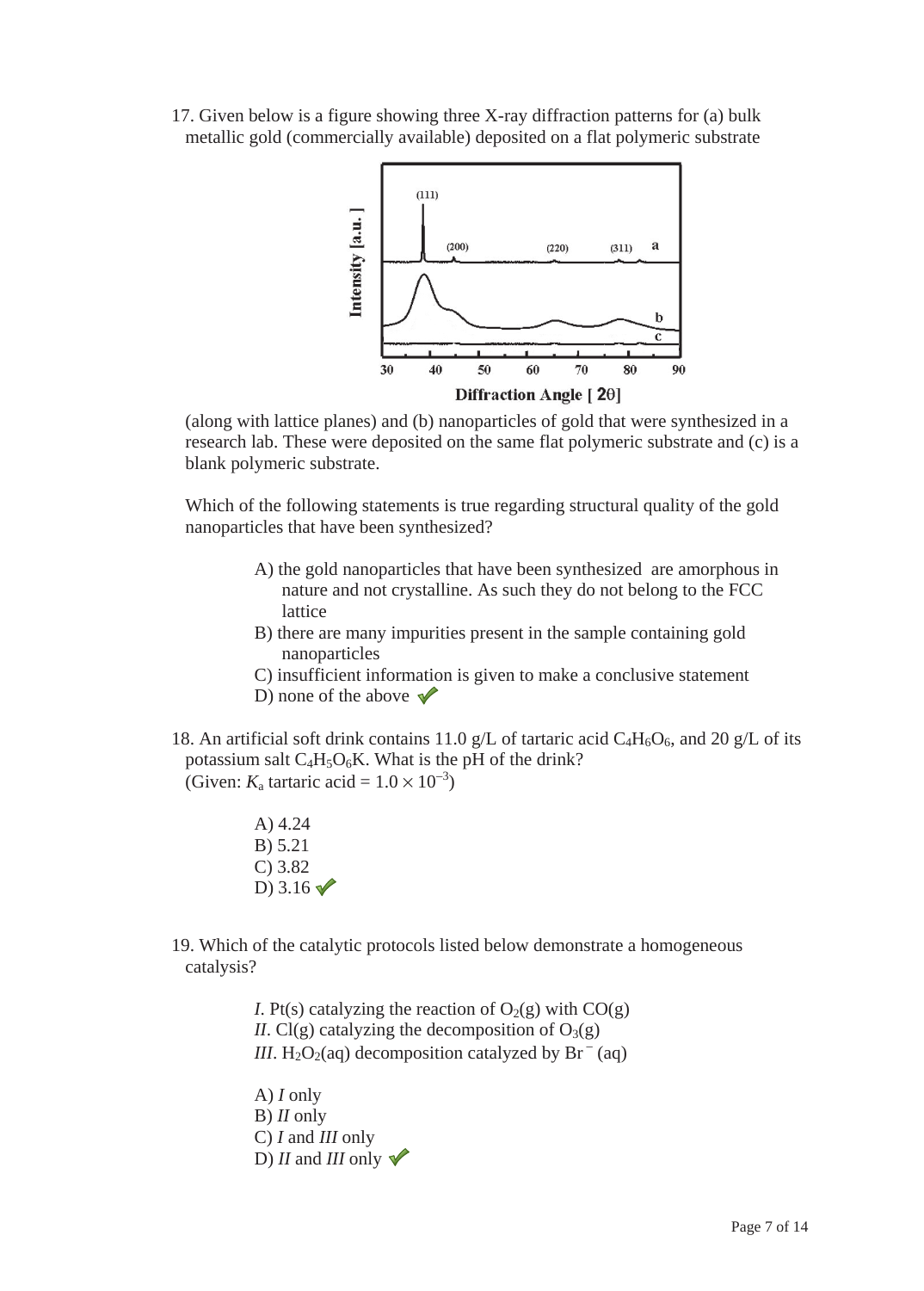17. Given below is a figure showing three X-ray diffraction patterns for (a) bulk metallic gold (commercially available) deposited on a flat polymeric substrate



(along with lattice planes) and (b) nanoparticles of gold that were synthesized in a research lab. These were deposited on the same flat polymeric substrate and (c) is a blank polymeric substrate.

Which of the following statements is true regarding structural quality of the gold nanoparticles that have been synthesized?

- A) the gold nanoparticles that have been synthesized are amorphous in nature and not crystalline. As such they do not belong to the FCC lattice
- B) there are many impurities present in the sample containing gold nanoparticles
- C) insufficient information is given to make a conclusive statement
- D) none of the above  $\sqrt{\phantom{a}}$
- 18. An artificial soft drink contains 11.0 g/L of tartaric acid  $C_4H_6O_6$ , and 20 g/L of its potassium salt  $C_4H_5O_6K$ . What is the pH of the drink? (Given:  $K_a$  tartaric acid =  $1.0 \times 10^{-3}$ )
	- A) 4.24 B) 5.21 C) 3.82 D)  $3.16 \sqrt{ }$

19. Which of the catalytic protocols listed below demonstrate a homogeneous catalysis?

> *I*. Pt(s) catalyzing the reaction of  $O_2(g)$  with  $CO(g)$ *II*. Cl(g) catalyzing the decomposition of  $O_3(g)$ *III*. H<sub>2</sub>O<sub>2</sub>(aq) decomposition catalyzed by Br<sup>-</sup>(aq)

A) *I* only B) *II* only C) *I* and *III* only D) *II* and *III* only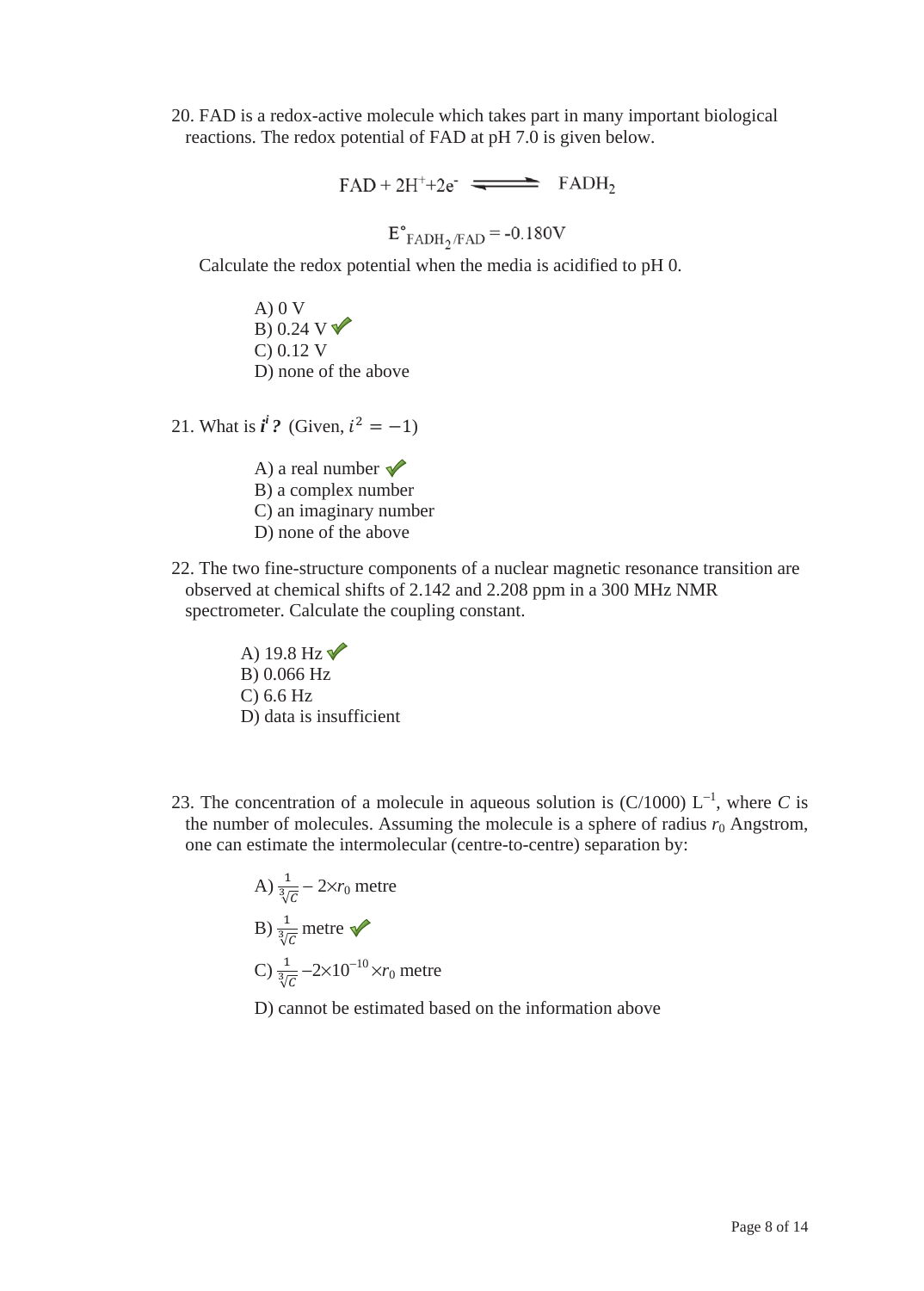20. FAD is a redox-active molecule which takes part in many important biological reactions. The redox potential of FAD at pH 7.0 is given below.

 $FAD + 2H^{+} + 2e^{-}$   $\implies$   $FADH_2$ 

 $E^{\circ}_{FADH_2/FAD}$  = -0.180V

Calculate the redox potential when the media is acidified to pH 0.

 $A)$  0 V B) 0.24 V  $\nabla$ C) 0.12 V D) none of the above

21. What is  $i^i$ ? (Given,  $i^2 = -1$ )

- A) a real number  $\sqrt{\phantom{a}}$ B) a complex number C) an imaginary number D) none of the above
- 22. The two fine-structure components of a nuclear magnetic resonance transition are observed at chemical shifts of 2.142 and 2.208 ppm in a 300 MHz NMR spectrometer. Calculate the coupling constant.

A) 19.8 Hz $\sqrt{\ }$ B) 0.066 Hz C) 6.6 Hz D) data is insufficient

23. The concentration of a molecule in aqueous solution is  $(C/1000)$  L<sup>-1</sup>, where C is the number of molecules. Assuming the molecule is a sphere of radius  $r_0$  Angstrom, one can estimate the intermolecular (centre-to-centre) separation by:

> A)  $\frac{1}{\sqrt[3]{c}}$  – 2×*r*<sub>0</sub> metre B)  $\frac{1}{\sqrt[3]{c}}$  metre C)  $\frac{1}{\sqrt[3]{c}} -2 \times 10^{-10} \times r_0$  metre

D) cannot be estimated based on the information above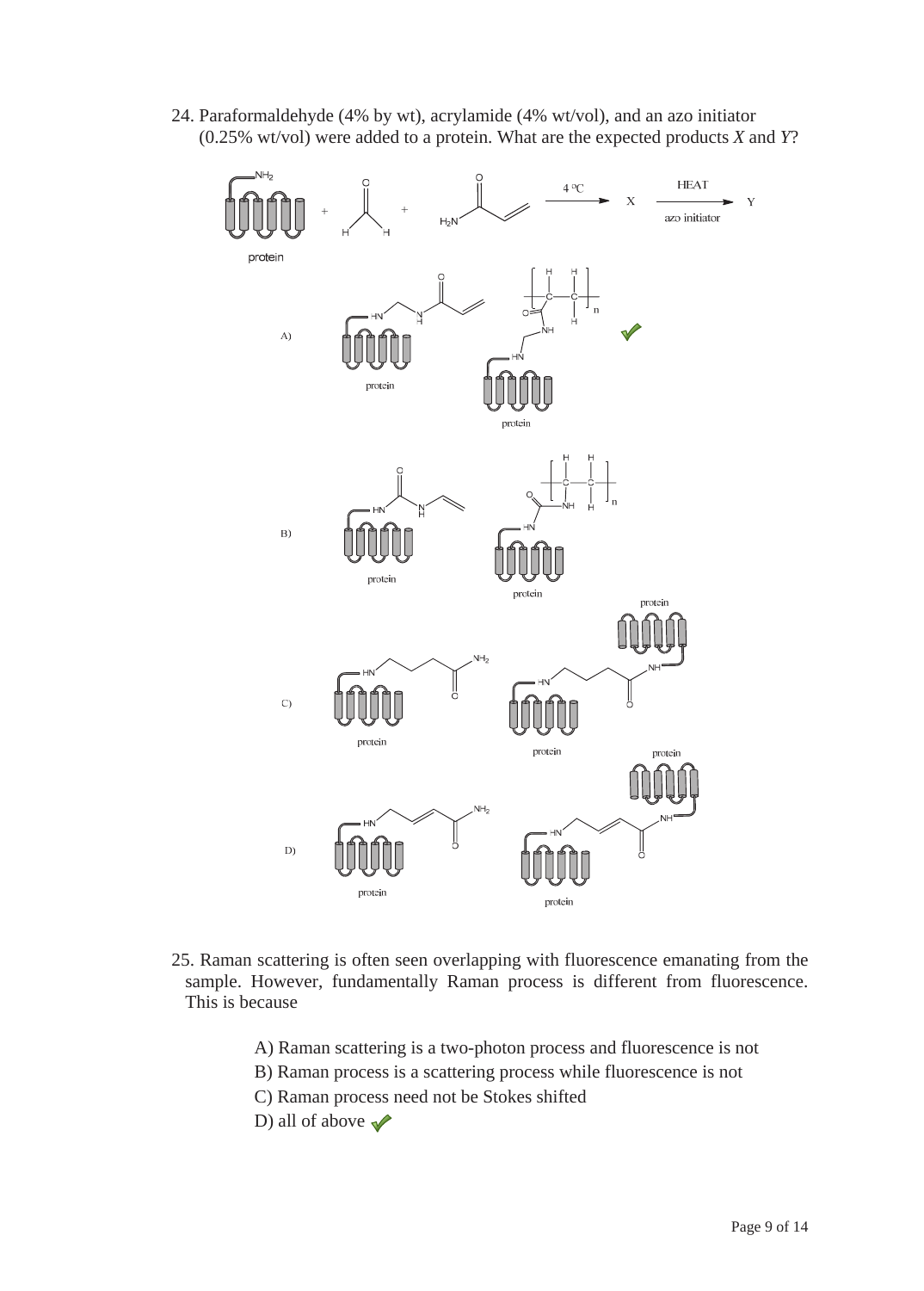24. Paraformaldehyde (4% by wt), acrylamide (4% wt/vol), and an azo initiator (0.25% wt/vol) were added to a protein. What are the expected products *X* and *Y*?



- 25. Raman scattering is often seen overlapping with fluorescence emanating from the sample. However, fundamentally Raman process is different from fluorescence. This is because
	- A) Raman scattering is a two-photon process and fluorescence is not
	- B) Raman process is a scattering process while fluorescence is not
	- C) Raman process need not be Stokes shifted
	- D) all of above  $\blacktriangleright$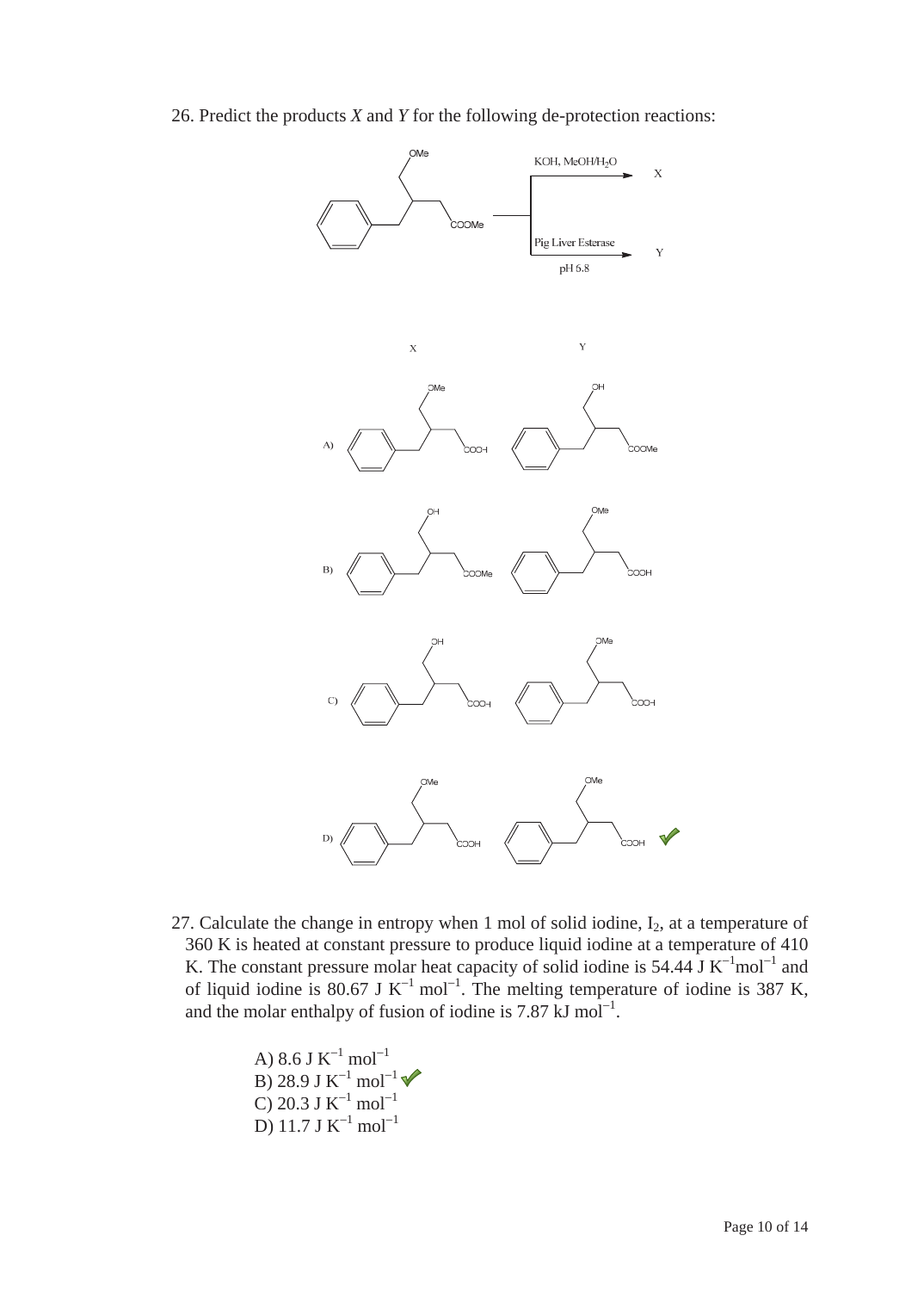26. Predict the products *X* and *Y* for the following de-protection reactions:



27. Calculate the change in entropy when 1 mol of solid iodine,  $I_2$ , at a temperature of 360 K is heated at constant pressure to produce liquid iodine at a temperature of 410 K. The constant pressure molar heat capacity of solid iodine is 54.44 J K<sup>-1</sup>mol<sup>-1</sup> and of liquid iodine is 80.67 J K<sup>-1</sup> mol<sup>-1</sup>. The melting temperature of iodine is 387 K, and the molar enthalpy of fusion of iodine is  $7.87 \text{ kJ mol}^{-1}$ .

> A) 8.6 J  $K^{-1}$  mol $^{-1}$ B) 28.9 J  $K^{-1}$  mol $^{-1}$ C) 20.3 J  $K^{-1}$  mol<sup>-1</sup> D) 11.7 J  $K^{-1}$  mol<sup>-1</sup>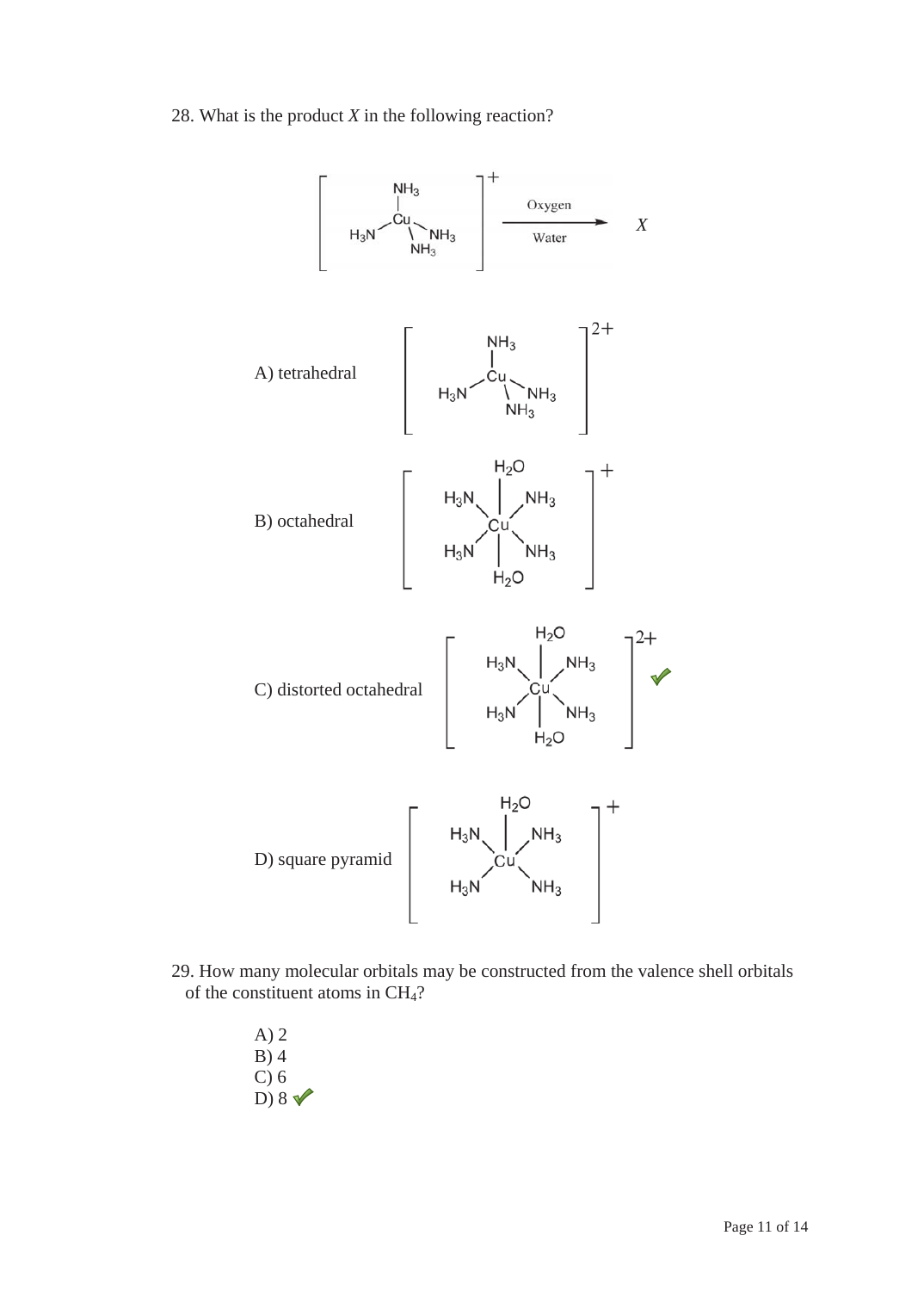28. What is the product *X* in the following reaction?



- 29. How many molecular orbitals may be constructed from the valence shell orbitals of the constituent atoms in CH4?
	- A) 2 B) 4 C) 6 D)  $8 \sqrt{ }$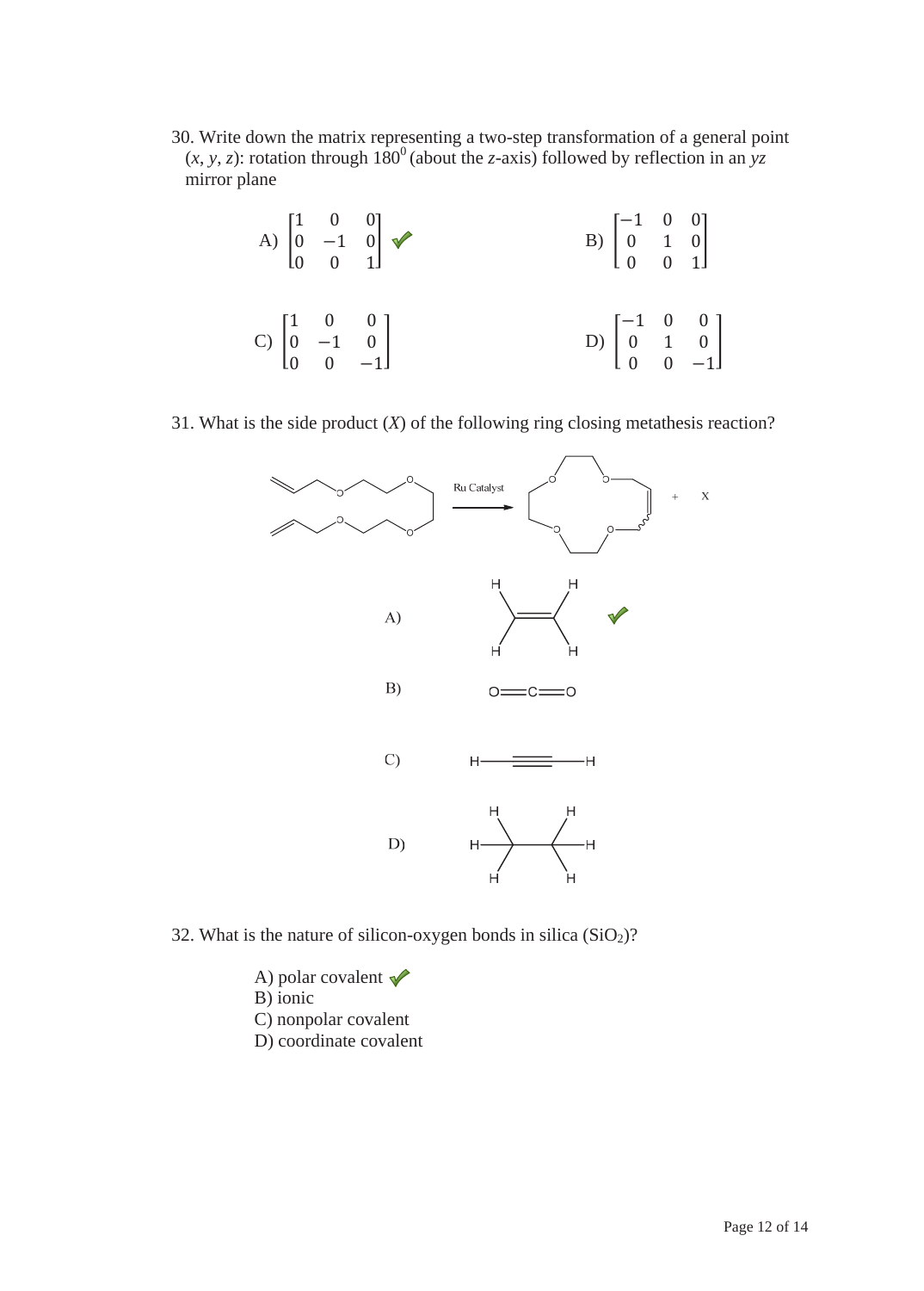30. Write down the matrix representing a two-step transformation of a general point  $(x, y, z)$ : rotation through  $180^\circ$  (about the *z*-axis) followed by reflection in an yz mirror plane

|                                                                          | A) $\begin{bmatrix} 1 & 0 & 0 \\ 0 & -1 & 0 \\ 0 & 0 & 1 \end{bmatrix}$ $\blacktriangleright$ | B) $\begin{bmatrix} -1 & 0 & 0 \\ 0 & 1 & 0 \\ 0 & 0 & 1 \end{bmatrix}$  |  |
|--------------------------------------------------------------------------|-----------------------------------------------------------------------------------------------|--------------------------------------------------------------------------|--|
| C) $\begin{bmatrix} 1 & 0 & 0 \\ 0 & -1 & 0 \\ 0 & 0 & -1 \end{bmatrix}$ |                                                                                               | D) $\begin{bmatrix} -1 & 0 & 0 \\ 0 & 1 & 0 \\ 0 & 0 & -1 \end{bmatrix}$ |  |

31. What is the side product (*X*) of the following ring closing metathesis reaction?



- 32. What is the nature of silicon-oxygen bonds in silica  $(SiO<sub>2</sub>)$ ?
	- A) polar covalent  $\sqrt{\phantom{a}}$ B) ionic C) nonpolar covalent
	- D) coordinate covalent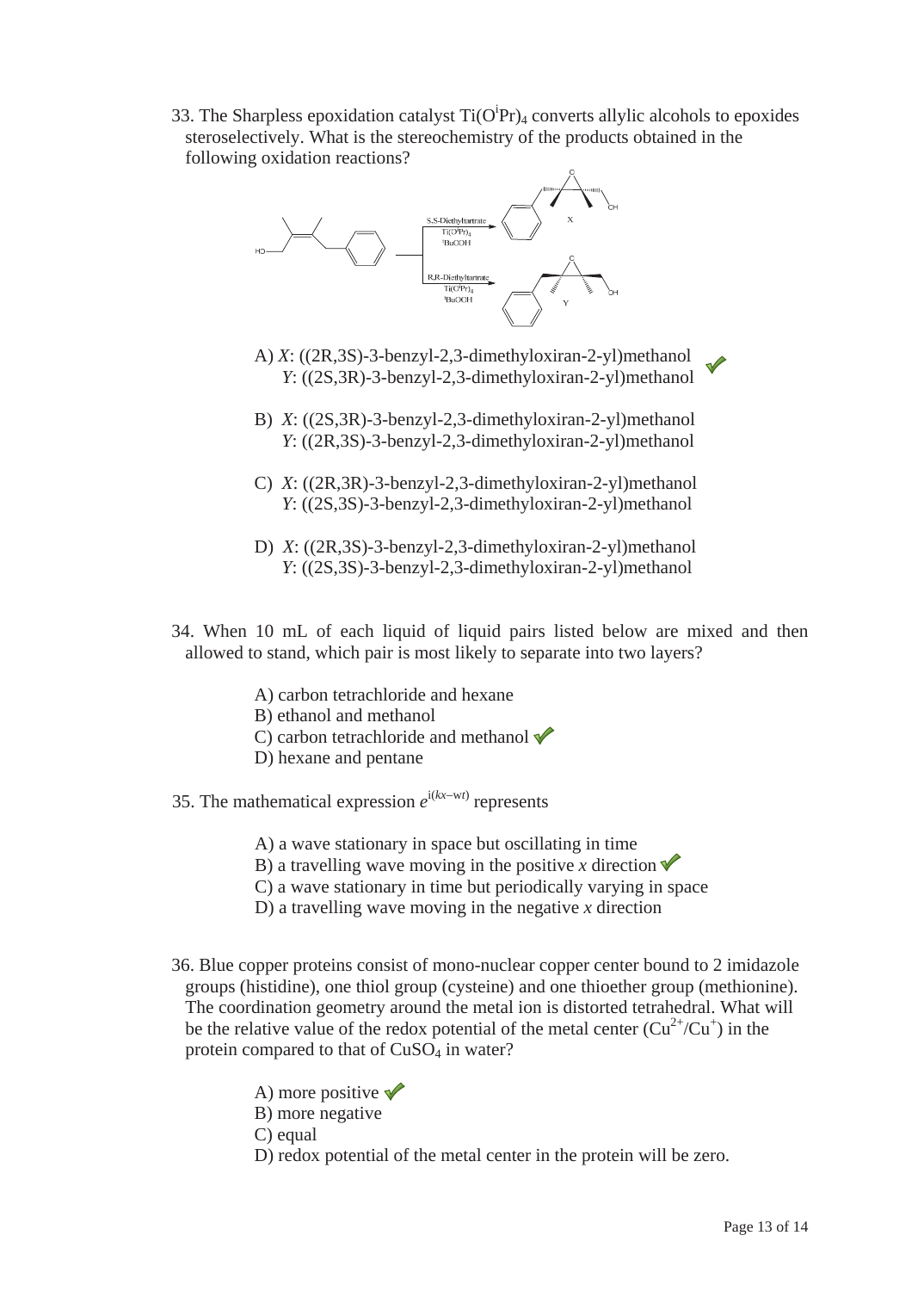33. The Sharpless epoxidation catalyst  $Ti(O^iPr)_4$  converts allylic alcohols to epoxides steroselectively. What is the stereochemistry of the products obtained in the following oxidation reactions?



- A) *X*: ((2R,3S)-3-benzyl-2,3-dimethyloxiran-2-yl)methanol *Y*: ((2S,3R)-3-benzyl-2,3-dimethyloxiran-2-yl)methanol
- B) *X*: ((2S,3R)-3-benzyl-2,3-dimethyloxiran-2-yl)methanol *Y*: ((2R,3S)-3-benzyl-2,3-dimethyloxiran-2-yl)methanol
- C) *X*: ((2R,3R)-3-benzyl-2,3-dimethyloxiran-2-yl)methanol *Y*: ((2S,3S)-3-benzyl-2,3-dimethyloxiran-2-yl)methanol
- D) *X*: ((2R,3S)-3-benzyl-2,3-dimethyloxiran-2-yl)methanol *Y*: ((2S,3S)-3-benzyl-2,3-dimethyloxiran-2-yl)methanol
- 34. When 10 mL of each liquid of liquid pairs listed below are mixed and then allowed to stand, which pair is most likely to separate into two layers?
	- A) carbon tetrachloride and hexane
	- B) ethanol and methanol
	- C) carbon tetrachloride and methanol  $\sqrt{\ }$
	- D) hexane and pentane
- 35. The mathematical expression  $e^{i(kx-wt)}$  represents
	- A) a wave stationary in space but oscillating in time
	- B) a travelling wave moving in the positive *x* direction  $\checkmark$
	- C) a wave stationary in time but periodically varying in space
	- D) a travelling wave moving in the negative *x* direction
- 36. Blue copper proteins consist of mono-nuclear copper center bound to 2 imidazole groups (histidine), one thiol group (cysteine) and one thioether group (methionine). The coordination geometry around the metal ion is distorted tetrahedral. What will be the relative value of the redox potential of the metal center  $(Cu^{2+}/Cu^{+})$  in the protein compared to that of CuSO<sub>4</sub> in water?
	- A) more positive  $\sqrt{\ }$
	- B) more negative
	- C) equal
	- D) redox potential of the metal center in the protein will be zero.